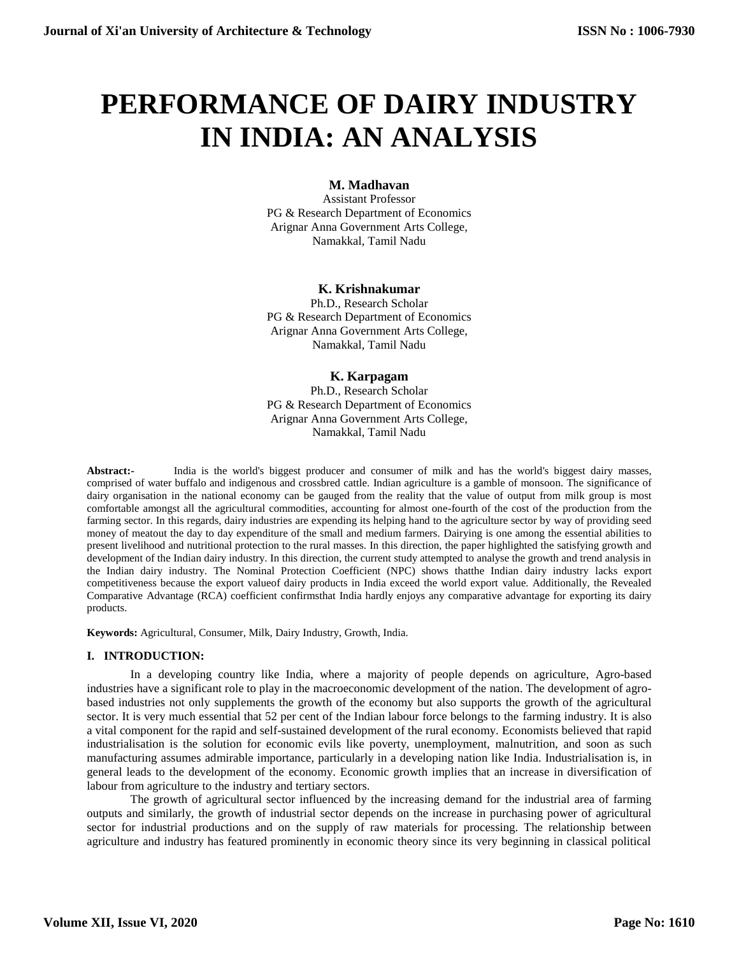# **PERFORMANCE OF DAIRY INDUSTRY IN INDIA: AN ANALYSIS**

# **M. Madhavan**

Assistant Professor PG & Research Department of Economics Arignar Anna Government Arts College, Namakkal, Tamil Nadu

# **K. Krishnakumar**

Ph.D., Research Scholar PG & Research Department of Economics Arignar Anna Government Arts College, Namakkal, Tamil Nadu

# **K. Karpagam**

Ph.D., Research Scholar PG & Research Department of Economics Arignar Anna Government Arts College, Namakkal, Tamil Nadu

**Abstract:-** India is the world's biggest producer and consumer of milk and has the world's biggest dairy masses, comprised of water buffalo and indigenous and crossbred cattle. Indian agriculture is a gamble of monsoon. The significance of dairy organisation in the national economy can be gauged from the reality that the value of output from milk group is most comfortable amongst all the agricultural commodities, accounting for almost one-fourth of the cost of the production from the farming sector. In this regards, dairy industries are expending its helping hand to the agriculture sector by way of providing seed money of meatout the day to day expenditure of the small and medium farmers. Dairying is one among the essential abilities to present livelihood and nutritional protection to the rural masses. In this direction, the paper highlighted the satisfying growth and development of the Indian dairy industry. In this direction, the current study attempted to analyse the growth and trend analysis in the Indian dairy industry. The Nominal Protection Coefficient (NPC) shows thatthe Indian dairy industry lacks export competitiveness because the export valueof dairy products in India exceed the world export value. Additionally, the Revealed Comparative Advantage (RCA) coefficient confirmsthat India hardly enjoys any comparative advantage for exporting its dairy products.

**Keywords:** Agricultural, Consumer, Milk, Dairy Industry, Growth, India.

# **I. INTRODUCTION:**

In a developing country like India, where a majority of people depends on agriculture, Agro-based industries have a significant role to play in the macroeconomic development of the nation. The development of agrobased industries not only supplements the growth of the economy but also supports the growth of the agricultural sector. It is very much essential that 52 per cent of the Indian labour force belongs to the farming industry. It is also a vital component for the rapid and self-sustained development of the rural economy. Economists believed that rapid industrialisation is the solution for economic evils like poverty, unemployment, malnutrition, and soon as such manufacturing assumes admirable importance, particularly in a developing nation like India. Industrialisation is, in general leads to the development of the economy. Economic growth implies that an increase in diversification of labour from agriculture to the industry and tertiary sectors.

The growth of agricultural sector influenced by the increasing demand for the industrial area of farming outputs and similarly, the growth of industrial sector depends on the increase in purchasing power of agricultural sector for industrial productions and on the supply of raw materials for processing. The relationship between agriculture and industry has featured prominently in economic theory since its very beginning in classical political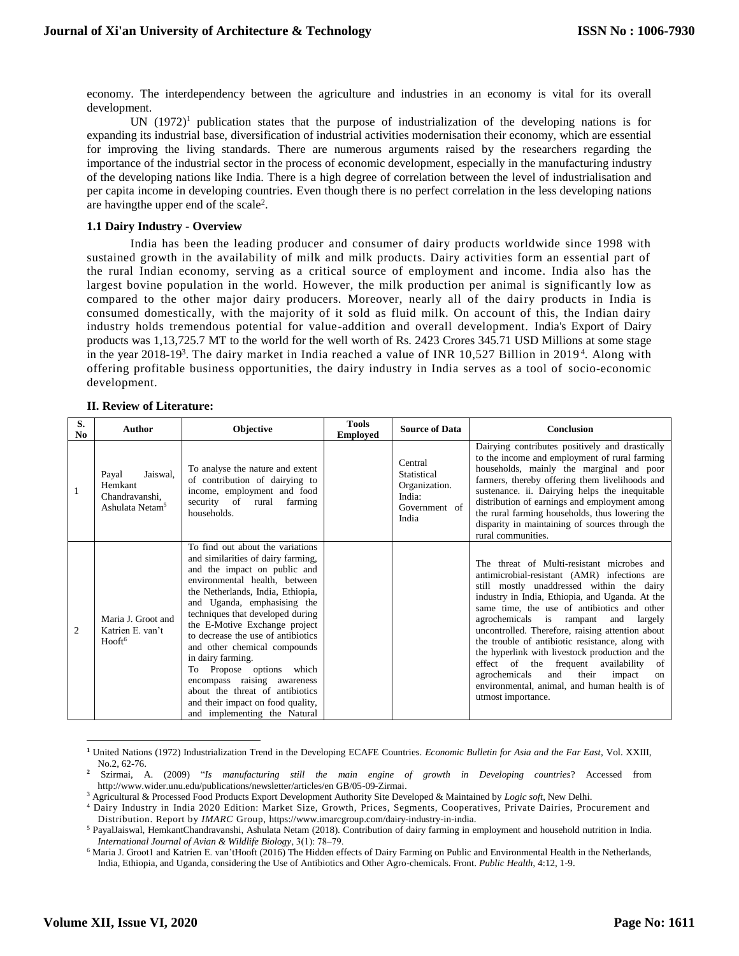economy. The interdependency between the agriculture and industries in an economy is vital for its overall development.

UN  $(1972)^1$  publication states that the purpose of industrialization of the developing nations is for expanding its industrial base, diversification of industrial activities modernisation their economy, which are essential for improving the living standards. There are numerous arguments raised by the researchers regarding the importance of the industrial sector in the process of economic development, especially in the manufacturing industry of the developing nations like India. There is a high degree of correlation between the level of industrialisation and per capita income in developing countries. Even though there is no perfect correlation in the less developing nations are having the upper end of the scale<sup>2</sup>.

## **1.1 Dairy Industry - Overview**

India has been the leading producer and consumer of dairy products worldwide since 1998 with sustained growth in the availability of milk and milk products. Dairy activities form an essential part of the rural Indian economy, serving as a critical source of employment and income. India also has the largest bovine population in the world. However, the milk production per animal is significantly low as compared to the other major dairy producers. Moreover, nearly all of the dairy products in India is consumed domestically, with the majority of it sold as fluid milk. On account of this, the Indian dairy industry holds tremendous potential for value-addition and overall development. India's Export of Dairy products was 1,13,725.7 MT to the world for the well worth of Rs. 2423 Crores 345.71 USD Millions at some stage in the year 2018-19<sup>3</sup>. The dairy market in India reached a value of INR 10,527 Billion in 2019<sup>4</sup>. Along with offering profitable business opportunities, the dairy industry in India serves as a tool of socio-economic development.

## **II. Review of Literature:**

| S.<br>No.      | Author                                                                        | <b>Objective</b>                                                                                                                                                                                                                                                                                                                                                                                                                                                                                                                               | <b>Tools</b><br><b>Employed</b> | <b>Source of Data</b>                                                       | <b>Conclusion</b>                                                                                                                                                                                                                                                                                                                                                                                                                                                                                                                                                                                                        |
|----------------|-------------------------------------------------------------------------------|------------------------------------------------------------------------------------------------------------------------------------------------------------------------------------------------------------------------------------------------------------------------------------------------------------------------------------------------------------------------------------------------------------------------------------------------------------------------------------------------------------------------------------------------|---------------------------------|-----------------------------------------------------------------------------|--------------------------------------------------------------------------------------------------------------------------------------------------------------------------------------------------------------------------------------------------------------------------------------------------------------------------------------------------------------------------------------------------------------------------------------------------------------------------------------------------------------------------------------------------------------------------------------------------------------------------|
|                | Jaiswal,<br>Payal<br>Hemkant<br>Chandravanshi,<br>Ashulata Netam <sup>5</sup> | To analyse the nature and extent<br>of contribution of dairying to<br>income, employment and food<br>security of rural<br>farming<br>households.                                                                                                                                                                                                                                                                                                                                                                                               |                                 | Central<br>Statistical<br>Organization.<br>India:<br>Government of<br>India | Dairying contributes positively and drastically<br>to the income and employment of rural farming<br>households, mainly the marginal and poor<br>farmers, thereby offering them livelihoods and<br>sustenance. ii. Dairying helps the inequitable<br>distribution of earnings and employment among<br>the rural farming households, thus lowering the<br>disparity in maintaining of sources through the<br>rural communities.                                                                                                                                                                                            |
| $\overline{2}$ | Maria J. Groot and<br>Katrien E. van't<br>Hooft <sup>6</sup>                  | To find out about the variations<br>and similarities of dairy farming,<br>and the impact on public and<br>environmental health, between<br>the Netherlands, India, Ethiopia,<br>and Uganda, emphasising the<br>techniques that developed during<br>the E-Motive Exchange project<br>to decrease the use of antibiotics<br>and other chemical compounds<br>in dairy farming.<br>To Propose options which<br>encompass raising awareness<br>about the threat of antibiotics<br>and their impact on food quality,<br>and implementing the Natural |                                 |                                                                             | The threat of Multi-resistant microbes and<br>antimicrobial-resistant (AMR) infections are<br>still mostly unaddressed within the dairy<br>industry in India, Ethiopia, and Uganda. At the<br>same time, the use of antibiotics and other<br>agrochemicals is rampant<br>and<br>largely<br>uncontrolled. Therefore, raising attention about<br>the trouble of antibiotic resistance, along with<br>the hyperlink with livestock production and the<br>effect of the frequent availability<br>-of<br>their<br>agrochemicals<br>and<br>impact<br>on<br>environmental, animal, and human health is of<br>utmost importance. |

**<sup>1</sup>** United Nations (1972) Industrialization Trend in the Developing ECAFE Countries. *Economic Bulletin for Asia and the Far East*, Vol. XXIII, No.2, 62-76.

 $\overline{\phantom{a}}$ 

**<sup>2</sup>** Szirmai, A. (2009) "*Is manufacturing still the main engine of growth in Developing countries*? Accessed from http://www.wider.unu.edu/publications/newsletter/articles/en GB/05-09-Zirmai.

<sup>3</sup> Agricultural & Processed Food Products Export Development Authority Site Developed & Maintained by *Logic soft*, New Delhi.

<sup>4</sup> Dairy Industry in India 2020 Edition: Market Size, Growth, Prices, Segments, Cooperatives, Private Dairies, Procurement and Distribution. Report by *IMARC* Group, https://www.imarcgroup.com/dairy-industry-in-india.

<sup>5</sup> PayalJaiswal, HemkantChandravanshi, Ashulata Netam (2018). Contribution of dairy farming in employment and household nutrition in India. *International Journal of Avian & Wildlife Biology*, 3(1): 78‒79.

<sup>&</sup>lt;sup>6</sup> Maria J. Groot1 and Katrien E. van'tHooft (2016) The Hidden effects of Dairy Farming on Public and Environmental Health in the Netherlands, India, Ethiopia, and Uganda, considering the Use of Antibiotics and Other Agro-chemicals. Front. *Public Health,* 4:12, 1-9.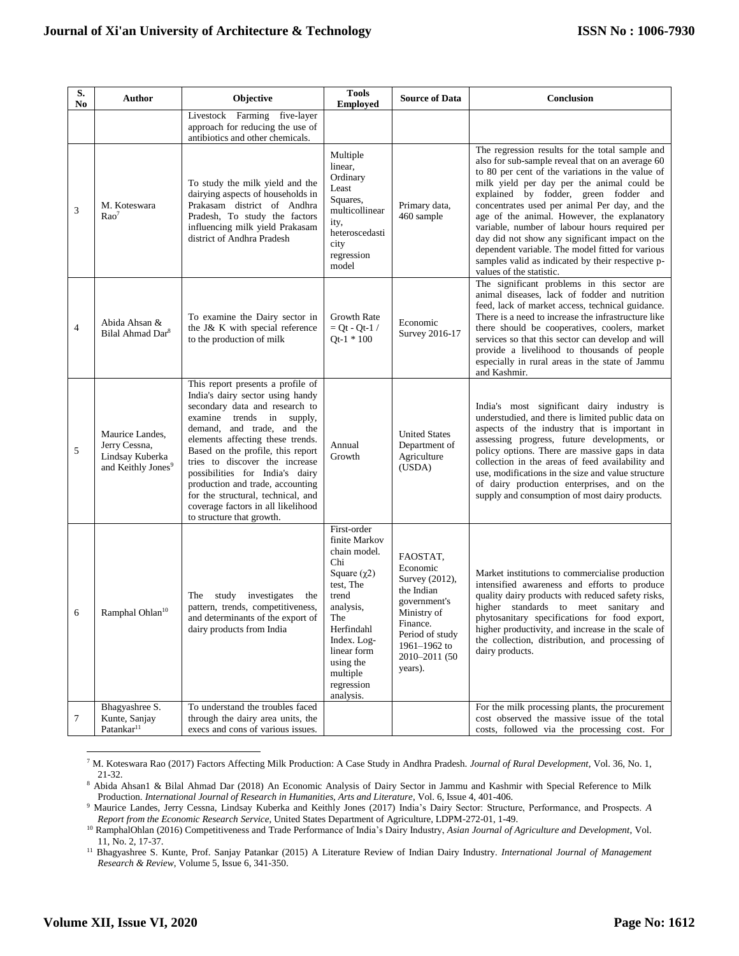| S.<br>No | Author                                                                                | Objective                                                                                                                                                                                                                                                                                                                                                                                                                                                     | <b>Tools</b><br><b>Employed</b>                                                                                                                                                                                      | <b>Source of Data</b>                                                                                                                                          | Conclusion                                                                                                                                                                                                                                                                                                                                                                                                                                                                                                                                                                             |
|----------|---------------------------------------------------------------------------------------|---------------------------------------------------------------------------------------------------------------------------------------------------------------------------------------------------------------------------------------------------------------------------------------------------------------------------------------------------------------------------------------------------------------------------------------------------------------|----------------------------------------------------------------------------------------------------------------------------------------------------------------------------------------------------------------------|----------------------------------------------------------------------------------------------------------------------------------------------------------------|----------------------------------------------------------------------------------------------------------------------------------------------------------------------------------------------------------------------------------------------------------------------------------------------------------------------------------------------------------------------------------------------------------------------------------------------------------------------------------------------------------------------------------------------------------------------------------------|
|          |                                                                                       | Livestock Farming five-layer<br>approach for reducing the use of<br>antibiotics and other chemicals.                                                                                                                                                                                                                                                                                                                                                          |                                                                                                                                                                                                                      |                                                                                                                                                                |                                                                                                                                                                                                                                                                                                                                                                                                                                                                                                                                                                                        |
| 3        | M. Koteswara<br>Rao <sup>7</sup>                                                      | To study the milk yield and the<br>dairying aspects of households in<br>Prakasam district of Andhra<br>Pradesh, To study the factors<br>influencing milk yield Prakasam<br>district of Andhra Pradesh                                                                                                                                                                                                                                                         | Multiple<br>linear,<br>Ordinary<br>Least<br>Squares,<br>multicollinear<br>ity,<br>heteroscedasti<br>city<br>regression<br>model                                                                                      | Primary data,<br>460 sample                                                                                                                                    | The regression results for the total sample and<br>also for sub-sample reveal that on an average 60<br>to 80 per cent of the variations in the value of<br>milk yield per day per the animal could be<br>explained by fodder, green fodder and<br>concentrates used per animal Per day, and the<br>age of the animal. However, the explanatory<br>variable, number of labour hours required per<br>day did not show any significant impact on the<br>dependent variable. The model fitted for various<br>samples valid as indicated by their respective p-<br>values of the statistic. |
| 4        | Abida Ahsan &<br>Bilal Ahmad Dar <sup>8</sup>                                         | To examine the Dairy sector in<br>the J& K with special reference<br>to the production of milk                                                                                                                                                                                                                                                                                                                                                                | <b>Growth Rate</b><br>$=$ Ot - Ot-1 /<br>$Qt-1 * 100$                                                                                                                                                                | Economic<br>Survey 2016-17                                                                                                                                     | The significant problems in this sector are<br>animal diseases, lack of fodder and nutrition<br>feed, lack of market access, technical guidance.<br>There is a need to increase the infrastructure like<br>there should be cooperatives, coolers, market<br>services so that this sector can develop and will<br>provide a livelihood to thousands of people<br>especially in rural areas in the state of Jammu<br>and Kashmir.                                                                                                                                                        |
| 5        | Maurice Landes,<br>Jerry Cessna,<br>Lindsay Kuberka<br>and Keithly Jones <sup>9</sup> | This report presents a profile of<br>India's dairy sector using handy<br>secondary data and research to<br>examine trends in supply,<br>demand, and trade, and the<br>elements affecting these trends.<br>Based on the profile, this report<br>tries to discover the increase<br>possibilities for India's dairy<br>production and trade, accounting<br>for the structural, technical, and<br>coverage factors in all likelihood<br>to structure that growth. | Annual<br>Growth                                                                                                                                                                                                     | <b>United States</b><br>Department of<br>Agriculture<br>(USDA)                                                                                                 | India's most significant dairy industry is<br>understudied, and there is limited public data on<br>aspects of the industry that is important in<br>assessing progress, future developments, or<br>policy options. There are massive gaps in data<br>collection in the areas of feed availability and<br>use, modifications in the size and value structure<br>of dairy production enterprises, and on the<br>supply and consumption of most dairy products.                                                                                                                            |
| 6        | Ramphal Ohlan <sup>10</sup>                                                           | study<br>investigates<br>The<br>the<br>pattern, trends, competitiveness,<br>and determinants of the export of<br>dairy products from India                                                                                                                                                                                                                                                                                                                    | First-order<br>finite Markov<br>chain model.<br>Chi<br>Square $(\gamma 2)$<br>test, The<br>trend<br>analysis,<br>The<br>Herfindahl<br>Index. Log-<br>linear form<br>using the<br>multiple<br>regression<br>analysis. | FAOSTAT.<br>Economic<br>Survey (2012),<br>the Indian<br>government's<br>Ministry of<br>Finance.<br>Period of study<br>1961-1962 to<br>2010-2011 (50<br>years). | Market institutions to commercialise production<br>intensified awareness and efforts to produce<br>quality dairy products with reduced safety risks,<br>higher standards to meet sanitary<br>and<br>phytosanitary specifications for food export,<br>higher productivity, and increase in the scale of<br>the collection, distribution, and processing of<br>dairy products.                                                                                                                                                                                                           |
| 7        | Bhagyashree S.<br>Kunte, Sanjay<br>$\mathbf{Patankar}^{11}$                           | To understand the troubles faced<br>through the dairy area units, the<br>execs and cons of various issues.                                                                                                                                                                                                                                                                                                                                                    |                                                                                                                                                                                                                      |                                                                                                                                                                | For the milk processing plants, the procurement<br>cost observed the massive issue of the total<br>costs, followed via the processing cost. For                                                                                                                                                                                                                                                                                                                                                                                                                                        |

<sup>7</sup> M. Koteswara Rao (2017) Factors Affecting Milk Production: A Case Study in Andhra Pradesh. *Journal of Rural Development*, Vol. 36, No. 1, 21-32.

 $\overline{a}$ 

<sup>8</sup> Abida Ahsan1 & Bilal Ahmad Dar (2018) An Economic Analysis of Dairy Sector in Jammu and Kashmir with Special Reference to Milk Production. *International Journal of Research in Humanities, Arts and Literature*, Vol. 6, Issue 4, 401-406.

<sup>9</sup> Maurice Landes, Jerry Cessna, Lindsay Kuberka and Keithly Jones (2017) India's Dairy Sector: Structure, Performance, and Prospects. *A Report from the Economic Research Service*, United States Department of Agriculture, LDPM-272-01, 1-49.

<sup>10</sup> RamphalOhlan (2016) Competitiveness and Trade Performance of India's Dairy Industry, *Asian Journal of Agriculture and Development*, Vol. 11, No. 2, 17-37.

<sup>11</sup> Bhagyashree S. Kunte, Prof. Sanjay Patankar (2015) A Literature Review of Indian Dairy Industry*. International Journal of Management Research & Review*, Volume 5, Issue 6, 341-350.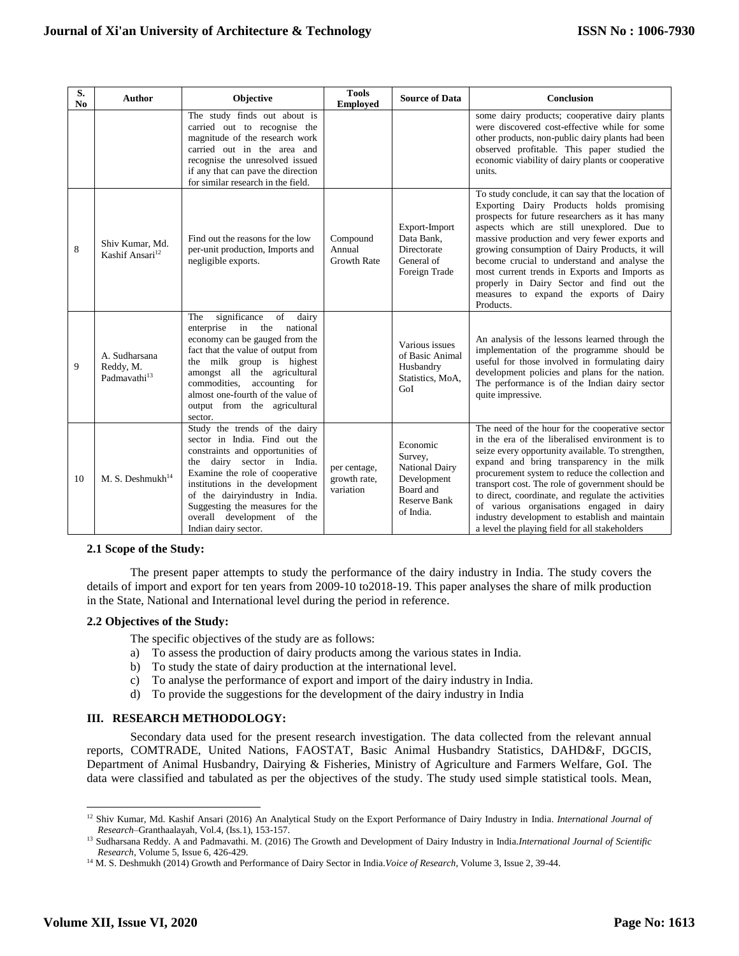| S.<br>N <sub>0</sub> | <b>Author</b>                                          | Objective                                                                                                                                                                                                                                                                                                                         | <b>Tools</b><br><b>Employed</b>           | <b>Source of Data</b>                                                                                        | Conclusion                                                                                                                                                                                                                                                                                                                                                                                                                                                                                                         |
|----------------------|--------------------------------------------------------|-----------------------------------------------------------------------------------------------------------------------------------------------------------------------------------------------------------------------------------------------------------------------------------------------------------------------------------|-------------------------------------------|--------------------------------------------------------------------------------------------------------------|--------------------------------------------------------------------------------------------------------------------------------------------------------------------------------------------------------------------------------------------------------------------------------------------------------------------------------------------------------------------------------------------------------------------------------------------------------------------------------------------------------------------|
|                      |                                                        | The study finds out about is<br>carried out to recognise the<br>magnitude of the research work<br>carried out in the area and<br>recognise the unresolved issued<br>if any that can pave the direction<br>for similar research in the field.                                                                                      |                                           |                                                                                                              | some dairy products; cooperative dairy plants<br>were discovered cost-effective while for some<br>other products, non-public dairy plants had been<br>observed profitable. This paper studied the<br>economic viability of dairy plants or cooperative<br>units.                                                                                                                                                                                                                                                   |
| 8                    | Shiv Kumar, Md.<br>Kashif Ansari <sup>12</sup>         | Find out the reasons for the low<br>per-unit production, Imports and<br>negligible exports.                                                                                                                                                                                                                                       | Compound<br>Annual<br><b>Growth Rate</b>  | Export-Import<br>Data Bank.<br>Directorate<br>General of<br>Foreign Trade                                    | To study conclude, it can say that the location of<br>Exporting Dairy Products holds promising<br>prospects for future researchers as it has many<br>aspects which are still unexplored. Due to<br>massive production and very fewer exports and<br>growing consumption of Dairy Products, it will<br>become crucial to understand and analyse the<br>most current trends in Exports and Imports as<br>properly in Dairy Sector and find out the<br>measures to expand the exports of Dairy<br>Products.           |
| 9                    | A. Sudharsana<br>Reddy, M.<br>Padmavathi <sup>13</sup> | The<br>significance<br>of<br>dairy<br>enterprise<br>in<br>national<br>the<br>economy can be gauged from the<br>fact that the value of output from<br>the milk group is highest<br>amongst all the agricultural<br>commodities,<br>accounting for<br>almost one-fourth of the value of<br>output from the agricultural<br>sector.  |                                           | Various issues<br>of Basic Animal<br>Husbandry<br>Statistics, MoA,<br>GoI                                    | An analysis of the lessons learned through the<br>implementation of the programme should be<br>useful for those involved in formulating dairy<br>development policies and plans for the nation.<br>The performance is of the Indian dairy sector<br>quite impressive.                                                                                                                                                                                                                                              |
| 10                   | M. S. Deshmukh $^{14}$                                 | Study the trends of the dairy<br>sector in India. Find out the<br>constraints and opportunities of<br>the dairy sector in India.<br>Examine the role of cooperative<br>institutions in the development<br>of the dairyindustry in India.<br>Suggesting the measures for the<br>overall development of the<br>Indian dairy sector. | per centage,<br>growth rate,<br>variation | Economic<br>Survey,<br><b>National Dairy</b><br>Development<br>Board and<br><b>Reserve Bank</b><br>of India. | The need of the hour for the cooperative sector<br>in the era of the liberalised environment is to<br>seize every opportunity available. To strengthen,<br>expand and bring transparency in the milk<br>procurement system to reduce the collection and<br>transport cost. The role of government should be<br>to direct, coordinate, and regulate the activities<br>of various organisations engaged in dairy<br>industry development to establish and maintain<br>a level the playing field for all stakeholders |

## **2.1 Scope of the Study:**

The present paper attempts to study the performance of the dairy industry in India. The study covers the details of import and export for ten years from 2009-10 to2018-19. This paper analyses the share of milk production in the State, National and International level during the period in reference.

# **2.2 Objectives of the Study:**

The specific objectives of the study are as follows:

- a) To assess the production of dairy products among the various states in India.
- b) To study the state of dairy production at the international level.
- c) To analyse the performance of export and import of the dairy industry in India.
- d) To provide the suggestions for the development of the dairy industry in India

# **III. RESEARCH METHODOLOGY:**

Secondary data used for the present research investigation. The data collected from the relevant annual reports, COMTRADE, United Nations, FAOSTAT, Basic Animal Husbandry Statistics, DAHD&F, DGCIS, Department of Animal Husbandry, Dairying & Fisheries, Ministry of Agriculture and Farmers Welfare, GoI. The data were classified and tabulated as per the objectives of the study. The study used simple statistical tools. Mean,

 $\overline{\phantom{a}}$ <sup>12</sup> Shiv Kumar, Md. Kashif Ansari (2016) An Analytical Study on the Export Performance of Dairy Industry in India. *International Journal of Research*–Granthaalayah, Vol.4, (Iss.1), 153-157.

<sup>13</sup> Sudharsana Reddy. A and Padmavathi. M. (2016) The Growth and Development of Dairy Industry in India.*International Journal of Scientific Research*, Volume 5, Issue 6, 426-429.

<sup>14</sup> M. S. Deshmukh (2014) Growth and Performance of Dairy Sector in India.*Voice of Research*, Volume 3, Issue 2, 39-44.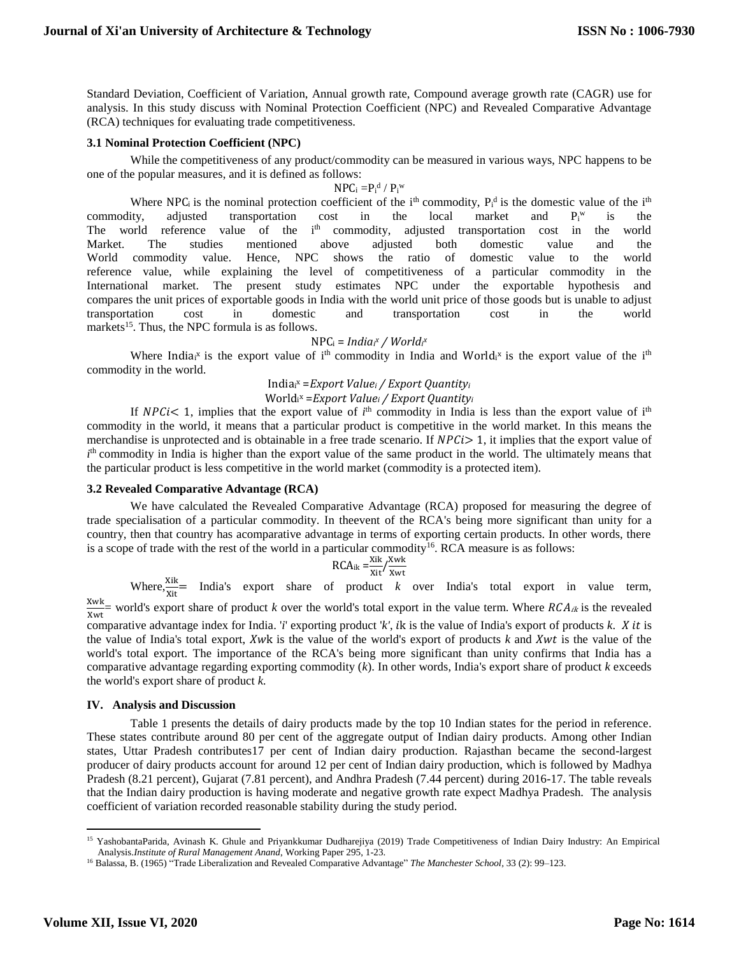Standard Deviation, Coefficient of Variation, Annual growth rate, Compound average growth rate (CAGR) use for analysis. In this study discuss with Nominal Protection Coefficient (NPC) and Revealed Comparative Advantage (RCA) techniques for evaluating trade competitiveness.

## **3.1 Nominal Protection Coefficient (NPC)**

While the competitiveness of any product/commodity can be measured in various ways, NPC happens to be one of the popular measures, and it is defined as follows:

$$
NP C_i = \! P_i{}^d \mathbin{/} P_i{}^w
$$

Where NPC<sub>i</sub> is the nominal protection coefficient of the i<sup>th</sup> commodity,  $P_i^d$  is the domestic value of the i<sup>th</sup> commodity, adjusted transportation cost in the local market and  $P_i^w$ is the The world reference value of the i<sup>th</sup> commodity, adjusted transportation cost in the world Market. The studies mentioned above adjusted both domestic value and the World commodity value. Hence, NPC shows the ratio of domestic value to the world reference value, while explaining the level of competitiveness of a particular commodity in the International market. The present study estimates NPC under the exportable hypothesis and compares the unit prices of exportable goods in India with the world unit price of those goods but is unable to adjust transportation cost in domestic and transportation cost in the world markets<sup>15</sup>. Thus, the NPC formula is as follows.

 $NPC_i = India_i^x / World_i^x$ 

Where India<sub>i</sub>x is the export value of i<sup>th</sup> commodity in India and World<sub>i</sub>x is the export value of the i<sup>th</sup> commodity in the world.

India<sup>i</sup> <sup>x</sup> =*Export Value<sup>i</sup> / Export Quantity<sup>i</sup>*

World<sup>i</sup> <sup>x</sup> =*Export Value<sup>i</sup> / Export Quantity<sup>i</sup>*

If NPCi< 1, implies that the export value of  $i<sup>th</sup>$  commodity in India is less than the export value of  $i<sup>th</sup>$ commodity in the world, it means that a particular product is competitive in the world market. In this means the merchandise is unprotected and is obtainable in a free trade scenario. If  $NPC \geq 1$ , it implies that the export value of *i*<sup>th</sup> commodity in India is higher than the export value of the same product in the world. The ultimately means that the particular product is less competitive in the world market (commodity is a protected item).

# **3.2 Revealed Comparative Advantage (RCA)**

We have calculated the Revealed Comparative Advantage (RCA) proposed for measuring the degree of trade specialisation of a particular commodity. In theevent of the RCA's being more significant than unity for a country, then that country has acomparative advantage in terms of exporting certain products. In other words, there is a scope of trade with the rest of the world in a particular commodity<sup>16</sup>. RCA measure is as follows:

$$
RCA_{ik} = \frac{Xik}{Xit} / \frac{Xwk}{Xwt}
$$

Where,  $\frac{Xik}{Xit}$  India's export share of product *k* over India's total export in value term,

 $\frac{X_{\text{wK}}}{X_{\text{wK}}}$  world's export share of product *k* over the world's total export in the value term. Where  $RCA_{ik}$  is the revealed comparative advantage index for India. *'i'* exporting product 'k', ik is the value of India's export of products *k*. *X* it is the value of India's total export, Xwk is the value of the world's export of products  $k$  and Xwt is the value of the world's total export. The importance of the RCA's being more significant than unity confirms that India has a comparative advantage regarding exporting commodity (*k*). In other words, India's export share of product *k* exceeds the world's export share of product *k.*

## **IV. Analysis and Discussion**

Xwk

Table 1 presents the details of dairy products made by the top 10 Indian states for the period in reference. These states contribute around 80 per cent of the aggregate output of Indian dairy products. Among other Indian states, Uttar Pradesh contributes17 per cent of Indian dairy production. Rajasthan became the second-largest producer of dairy products account for around 12 per cent of Indian dairy production, which is followed by Madhya Pradesh (8.21 percent), Gujarat (7.81 percent), and Andhra Pradesh (7.44 percent) during 2016-17. The table reveals that the Indian dairy production is having moderate and negative growth rate expect Madhya Pradesh. The analysis coefficient of variation recorded reasonable stability during the study period.

 $\overline{\phantom{a}}$ 

<sup>&</sup>lt;sup>15</sup> YashobantaParida, Avinash K. Ghule and Priyankkumar Dudharejiya (2019) Trade Competitiveness of Indian Dairy Industry: An Empirical Analysis.*Institute of Rural Management Anand*, Working Paper 295, 1-23.

<sup>16</sup> Balassa, B. (1965) "Trade Liberalization and Revealed Comparative Advantage" *The Manchester School,* 33 (2): 99–123.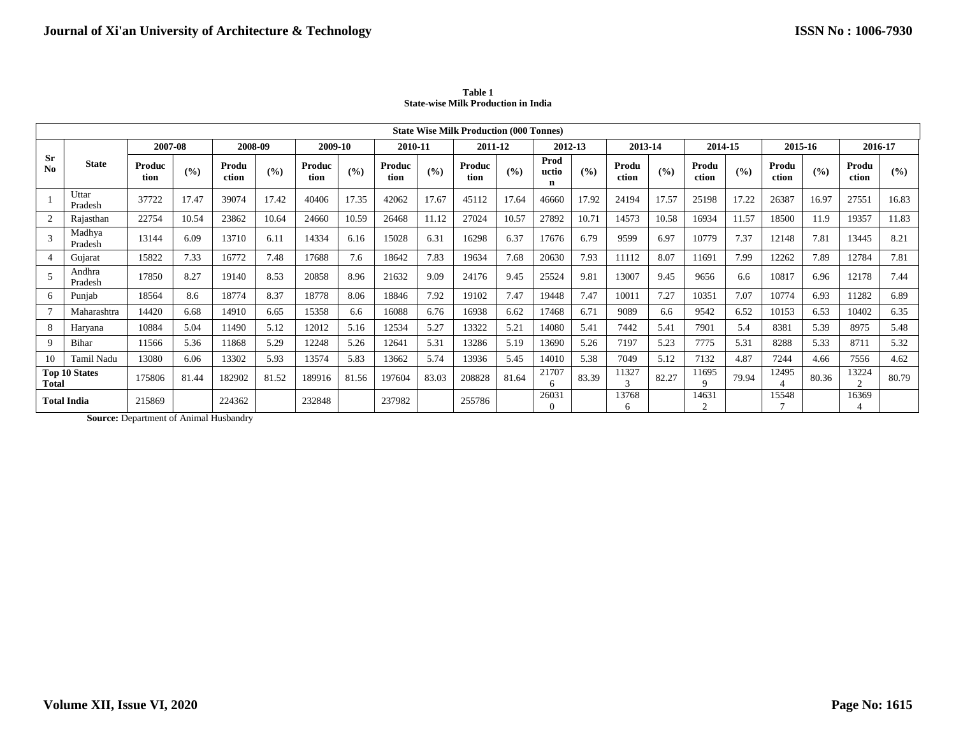|                      | <b>State Wise Milk Production (000 Tonnes)</b> |                |       |                |       |                |       |                |       |                |       |                    |       |                |       |                   |       |                |       |                |       |
|----------------------|------------------------------------------------|----------------|-------|----------------|-------|----------------|-------|----------------|-------|----------------|-------|--------------------|-------|----------------|-------|-------------------|-------|----------------|-------|----------------|-------|
|                      |                                                | 2007-08        |       | 2008-09        |       | 2009-10        |       | 2010-11        |       | 2011-12        |       | 2012-13            |       | 2013-14        |       | 2014-15           |       | 2015-16        |       | 2016-17        |       |
| Sr<br>N <sub>0</sub> | <b>State</b>                                   | Produc<br>tion | (9/0) | Produ<br>ction | (%)   | Produc<br>tion | (9/0) | Produc<br>tion | (9/0) | Produc<br>tion | (9/0) | Prod<br>uctio<br>n | (9/6) | Produ<br>ction | (9/0) | Produ<br>ction    | (9/6) | Produ<br>ction | (9/6) | Produ<br>ction | (9/0) |
|                      | Uttar<br>Pradesh                               | 37722          | 17.47 | 39074          | 17.42 | 40406          | 17.35 | 42062          | 17.67 | 45112          | 17.64 | 46660              | 17.92 | 24194          | 17.57 | 25198             | 17.22 | 26387          | 16.97 | 27551          | 16.83 |
| 2                    | Rajasthan                                      | 22754          | 10.54 | 23862          | 10.64 | 24660          | 10.59 | 26468          | 11.12 | 27024          | 10.57 | 27892              | 10.71 | 14573          | 10.58 | 16934             | 11.57 | 18500          | 11.9  | 19357          | 11.83 |
| $\mathcal{R}$        | Madhva<br>Pradesh                              | 13144          | 6.09  | 13710          | 6.11  | 14334          | 6.16  | 15028          | 6.31  | 16298          | 6.37  | 17676              | 6.79  | 9599           | 6.97  | 10779             | 7.37  | 12148          | 7.81  | 13445          | 8.21  |
|                      | Gujarat                                        | 15822          | 7.33  | 16772          | 7.48  | 17688          | 7.6   | 18642          | 7.83  | 19634          | 7.68  | 20630              | 7.93  | 11112          | 8.07  | 11691             | 7.99  | 12262          | 7.89  | 12784          | 7.81  |
| 5                    | Andhra<br>Pradesh                              | 17850          | 8.27  | 19140          | 8.53  | 20858          | 8.96  | 21632          | 9.09  | 24176          | 9.45  | 25524              | 9.81  | 13007          | 9.45  | 9656              | 6.6   | 10817          | 6.96  | 12178          | 7.44  |
| 6                    | Punjab                                         | 18564          | 8.6   | 18774          | 8.37  | 18778          | 8.06  | 18846          | 7.92  | 19102          | 7.47  | 19448              | 7.47  | 10011          | 7.27  | 10351             | 7.07  | 10774          | 6.93  | 11282          | 6.89  |
|                      | Maharashtra                                    | 14420          | 6.68  | 14910          | 6.65  | 15358          | 6.6   | 16088          | 6.76  | 16938          | 6.62  | 17468              | 6.71  | 9089           | 6.6   | 9542              | 6.52  | 10153          | 6.53  | 10402          | 6.35  |
| 8                    | Haryana                                        | 10884          | 5.04  | 11490          | 5.12  | 12012          | 5.16  | 12534          | 5.27  | 13322          | 5.21  | 14080              | 5.41  | 7442           | 5.41  | 7901              | 5.4   | 8381           | 5.39  | 8975           | 5.48  |
| 9                    | Bihar                                          | 11566          | 5.36  | 11868          | 5.29  | 12248          | 5.26  | 12641          | 5.31  | 13286          | 5.19  | 13690              | 5.26  | 7197           | 5.23  | 7775              | 5.31  | 8288           | 5.33  | 8711           | 5.32  |
| 10                   | Tamil Nadu                                     | 13080          | 6.06  | 13302          | 5.93  | 13574          | 5.83  | 13662          | 5.74  | 13936          | 5.45  | 14010              | 5.38  | 7049           | 5.12  | 7132              | 4.87  | 7244           | 4.66  | 7556           | 4.62  |
| Total                | <b>Top 10 States</b>                           | 175806         | 81.44 | 182902         | 81.52 | 189916         | 81.56 | 197604         | 83.03 | 208828         | 81.64 | 21707<br>-6        | 83.39 | 11327<br>3     | 82.27 | 11695<br>$\Omega$ | 79.94 | 12495          | 80.36 | 13224          | 80.79 |
|                      | Total India                                    | 215869         |       | 224362         |       | 232848         |       | 237982         |       | 255786         |       | 26031<br>$\Omega$  |       | 13768<br>h     |       | 14631<br>$\Omega$ |       | 15548          |       | 16369          |       |

**Table 1 State-wise Milk Production in India**

**Source:** Department of Animal Husbandry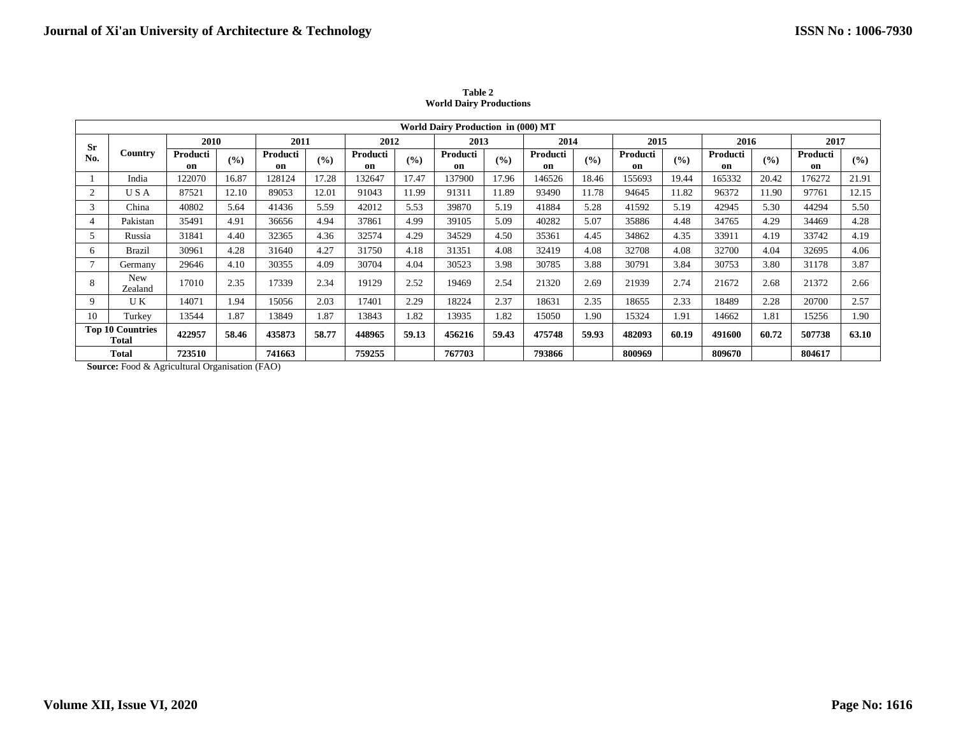|             | <b>World Dairy Production in (000) MT</b>                                                                                                                                                                                                                                                                        |                |       |                |       |                |       |                |       |                |                   |                |       |                |       |                |                   |
|-------------|------------------------------------------------------------------------------------------------------------------------------------------------------------------------------------------------------------------------------------------------------------------------------------------------------------------|----------------|-------|----------------|-------|----------------|-------|----------------|-------|----------------|-------------------|----------------|-------|----------------|-------|----------------|-------------------|
| <b>Sr</b>   |                                                                                                                                                                                                                                                                                                                  | 2010           |       | 2011           |       | 2012           |       | 2013           |       | 2014           |                   | 2015           |       | 2016           |       | 2017           |                   |
| No.         | Country                                                                                                                                                                                                                                                                                                          | Producti<br>on | (%)   | Producti<br>on | (%)   | Producti<br>on | (9/0) | Producti<br>on | (%)   | Producti<br>on | (° <sub>0</sub> ) | Producti<br>on | (%)   | Producti<br>on | (9/0) | Producti<br>on | (° <sub>0</sub> ) |
|             | India                                                                                                                                                                                                                                                                                                            | 122070         | 16.87 | 128124         | 17.28 | 132647         | 17.47 | 137900         | 17.96 | 146526         | 18.46             | 155693         | 19.44 | 165332         | 20.42 | 176272         | 21.91             |
|             | USA                                                                                                                                                                                                                                                                                                              | 87521          | 12.10 | 89053          | 12.01 | 91043          | 11.99 | 91311          | 11.89 | 93490          | 11.78             | 94645          | 11.82 | 96372          | 11.90 | 97761          | 12.15             |
| 3           | 40802<br>41436<br>42012<br>5.53<br>39870<br>41884<br>5.28<br>5.64<br>5.59<br>5.19<br>41592<br>5.19<br>42945<br>5.30<br>44294<br>5.50<br>China                                                                                                                                                                    |                |       |                |       |                |       |                |       |                |                   |                |       |                |       |                |                   |
|             | 40282<br>5.07<br>4.28<br>4.91<br>36656<br>37861<br>4.99<br>39105<br>5.09<br>35886<br>4.48<br>34765<br>4.29<br>Pakistan<br>35491<br>4.94<br>34469                                                                                                                                                                 |                |       |                |       |                |       |                |       |                |                   |                |       |                |       |                |                   |
|             | Russia                                                                                                                                                                                                                                                                                                           | 31841          | 4.40  | 32365          | 4.36  | 32574          | 4.29  | 34529          | 4.50  | 35361          | 4.45              | 34862          | 4.35  | 33911          | 4.19  | 33742          | 4.19              |
| 6           | <b>Brazil</b>                                                                                                                                                                                                                                                                                                    | 30961          | 4.28  | 31640          | 4.27  | 31750          | 4.18  | 31351          | 4.08  | 32419          | 4.08              | 32708          | 4.08  | 32700          | 4.04  | 32695          | 4.06              |
|             | Germany                                                                                                                                                                                                                                                                                                          | 29646          | 4.10  | 30355          | 4.09  | 30704          | 4.04  | 30523          | 3.98  | 30785          | 3.88              | 30791          | 3.84  | 30753          | 3.80  | 31178          | 3.87              |
| 8           | New<br>Zealand                                                                                                                                                                                                                                                                                                   | 17010          | 2.35  | 17339          | 2.34  | 19129          | 2.52  | 19469          | 2.54  | 21320          | 2.69              | 21939          | 2.74  | 21672          | 2.68  | 21372          | 2.66              |
| $\mathbf Q$ | U K                                                                                                                                                                                                                                                                                                              | 14071          | 1.94  | 15056          | 2.03  | 17401          | 2.29  | 18224          | 2.37  | 18631          | 2.35              | 18655          | 2.33  | 18489          | 2.28  | 20700          | 2.57              |
| 10          | Turkey                                                                                                                                                                                                                                                                                                           | 13544          | 1.87  | 13849          | 1.87  | 13843          | 1.82  | 13935          | 1.82  | 15050          | 1.90              | 15324          | 1.91  | 14662          | 1.81  | 15256          | 1.90              |
|             | <b>Top 10 Countries</b><br>Total                                                                                                                                                                                                                                                                                 | 422957         | 58.46 | 435873         | 58.77 | 448965         | 59.13 | 456216         | 59.43 | 475748         | 59.93             | 482093         | 60.19 | 491600         | 60.72 | 507738         | 63.10             |
|             | <b>Total</b><br>$\mathbf{C}$ are not $\mathbf{D}$ and $\mathbf{D}$ and $\mathbf{D}$ are $\mathbf{D}$ are $\mathbf{D}$ and $\mathbf{D}$ and $\mathbf{D}$ are $\mathbf{D}$ and $\mathbf{D}$ are $\mathbf{D}$ and $\mathbf{D}$ are $\mathbf{D}$ and $\mathbf{D}$ are $\mathbf{D}$ and $\mathbf{D}$ are $\mathbf{D}$ | 723510         |       | 741663         |       | 759255         |       | 767703         |       | 793866         |                   | 800969         |       | 809670         |       | 804617         |                   |

**Table 2 World Dairy Productions**

**Source:** Food & Agricultural Organisation (FAO)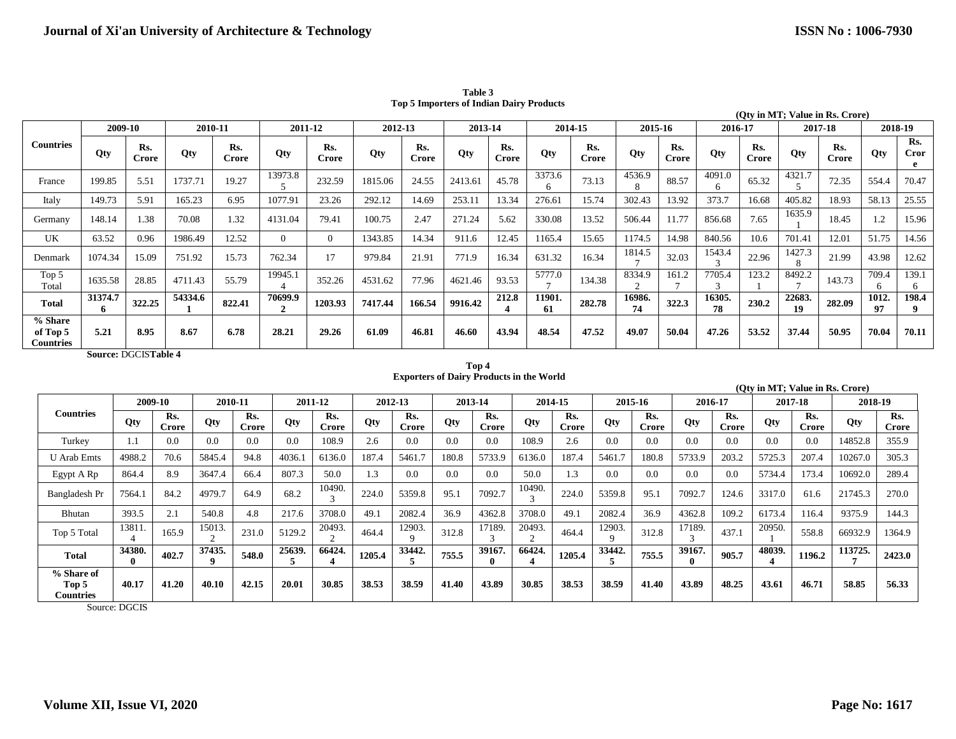|                                         |              |              |         |              |            |              |         |                     |         |              |              |                     |              |              |              |                     |              | (Oty in MT; Value in Rs. Crore) |             |                         |
|-----------------------------------------|--------------|--------------|---------|--------------|------------|--------------|---------|---------------------|---------|--------------|--------------|---------------------|--------------|--------------|--------------|---------------------|--------------|---------------------------------|-------------|-------------------------|
|                                         | 2009-10      |              |         | 2010-11      | 2011-12    |              | 2012-13 |                     | 2013-14 |              |              | 2014-15             | 2015-16      |              | 2016-17      |                     |              | 2017-18                         | 2018-19     |                         |
| <b>Countries</b>                        | Qty          | Rs.<br>Crore | Otv     | Rs.<br>Crore | <b>Qty</b> | Rs.<br>Crore | Otv     | Rs.<br><b>Crore</b> | Oty     | Rs.<br>Crore | <b>Qty</b>   | Rs.<br><b>Crore</b> | Oty          | Rs.<br>Crore | <b>Qty</b>   | Rs.<br><b>Crore</b> | <b>Qty</b>   | Rs.<br><b>Crore</b>             | Oty         | Rs.<br><b>Cror</b><br>e |
| France                                  | 199.85       | 5.51         | 1737.71 | 19.27        | 13973.8    | 232.59       | 1815.06 | 24.55               | 2413.61 | 45.78        | 3373.6<br>6  | 73.13               | 4536.9       | 88.57        | 4091.0       | 65.32               | 4321.7       | 72.35                           | 554.4       | 70.47                   |
| Italy                                   | 149.73       | 5.91         | 165.23  | 6.95         | 1077.91    | 23.26        | 292.12  | 14.69               | 253.11  | 13.34        | 276.61       | 15.74               | 302.43       | 13.92        | 373.7        | 16.68               | 405.82       | 18.93                           | 58.13       | 25.55                   |
| Germany                                 | 148.14       | 1.38         | 70.08   | 1.32         | 4131.04    | 79.41        | 100.75  | 2.47                | 271.24  | 5.62         | 330.08       | 13.52               | 506.44       | 11.77        | 856.68       | 7.65                | 1635.9       | 18.45                           | 1.2         | 15.96                   |
| UK                                      | 63.52        | 0.96         | 1986.49 | 12.52        | $\Omega$   | $\Omega$     | 1343.85 | 14.34               | 911.6   | 12.45        | 1165.4       | 15.65               | 1174.5       | 14.98        | 840.56       | 10.6                | 701.41       | 12.01                           | 51.75       | 14.56                   |
| Denmark                                 | 1074.34      | 15.09        | 751.92  | 15.73        | 762.34     | 17           | 979.84  | 21.91               | 771.9   | 16.34        | 631.32       | 16.34               | 1814.5       | 32.03        | 1543.4       | 22.96               | 1427.3       | 21.99                           | 43.98       | 12.62                   |
| Top 5<br>Total                          | 1635.58      | 28.85        | 4711.43 | 55.79        | 19945.1    | 352.26       | 4531.62 | 77.96               | 4621.46 | 93.53        | 5777.0       | 134.38              | 8334.9       | 161.2        | 7705.4       | 123.2               | 8492.2       | 143.73                          | 709.4<br>6  | 139.1<br>-6             |
| <b>Total</b>                            | 31374.7<br>6 | 322.25       | 54334.6 | 822.41       | 70699.9    | 1203.93      | 7417.44 | 166.54              | 9916.42 | 212.8        | 11901.<br>61 | 282.78              | 16986.<br>74 | 322.3        | 16305.<br>78 | 230.2               | 22683.<br>19 | 282.09                          | 1012.<br>97 | 198.4<br>Q              |
| % Share<br>of Top 5<br><b>Countries</b> | 5.21         | 8.95         | 8.67    | 6.78         | 28.21      | 29.26        | 61.09   | 46.81               | 46.60   | 43.94        | 48.54        | 47.52               | 49.07        | 50.04        | 47.26        | 53.52               | 37.44        | 50.95                           | 70.04       | 70.11                   |

**Table 3 Top 5 Importers of Indian Dairy Products**

**Source:** DGCIS**Table 4** 

#### **Top 4 Exporters of Dairy Products in the World**

|                                         |                        |              |                       |              |        |                     |        |              |       |                        |                        |              |            |              |             |              | (Oty in MT; Value in Rs. Crore) |              |         |              |
|-----------------------------------------|------------------------|--------------|-----------------------|--------------|--------|---------------------|--------|--------------|-------|------------------------|------------------------|--------------|------------|--------------|-------------|--------------|---------------------------------|--------------|---------|--------------|
|                                         |                        | 2009-10      |                       | 2010-11      |        | 2011-12             |        | 2012-13      |       | 2013-14                |                        | 2014-15      |            | 2015-16      | 2016-17     |              | 2017-18                         |              | 2018-19 |              |
| <b>Countries</b>                        | Qty                    | Rs.<br>Crore | Qty                   | Rs.<br>Crore | Qty    | Rs.<br><b>Crore</b> | Qty    | Rs.<br>Crore | Oty   | Rs.<br><b>Crore</b>    | Qty                    | Rs.<br>Crore | <b>Qty</b> | Rs.<br>Crore | Qty         | Rs.<br>Crore | Qty                             | Rs.<br>Crore | Qty     | Rs.<br>Crore |
| Turkey                                  | . . 1                  | 0.0          | 0.0                   | 0.0          | 0.0    | 108.9               | 2.6    | 0.0          | 0.0   | 0.0                    | 108.9                  | 2.6          | 0.0        | 0.0          | 0.0         | 0.0          | 0.0                             | 0.0          | 14852.8 | 355.9        |
| <b>U</b> Arab Emts                      | 4988.2                 | 70.6         | 5845.4                | 94.8         | 4036.1 | 6136.0              | 187.4  | 5461.7       | 180.8 | 5733.9                 | 6136.0                 | 187.4        | 5461.7     | 180.8        | 5733.9      | 203.2        | 5725.3                          | 207.4        | 10267.0 | 305.3        |
| Egypt A Rp                              | 864.4                  | 8.9          | 3647.4                | 66.4         | 807.3  | 50.0                | 1.3    | 0.0          | 0.0   | 0.0                    | 50.0                   | 1.3          | 0.0        | 0.0          | 0.0         | 0.0          | 5734.4                          | 173.4        | 10692.0 | 289.4        |
| Bangladesh Pr                           | 7564.1                 | 84.2         | 4979.7                | 64.9         | 68.2   | 10490.<br>$\sim$    | 224.0  | 5359.8       | 95.1  | 7092.7                 | 10490.<br>$\mathbf{r}$ | 224.0        | 5359.8     | 95.1         | 7092.7      | 124.6        | 3317.0                          | 61.6         | 21745.3 | 270.0        |
| Bhutan                                  | 393.5                  | 2.1          | 540.8                 | 4.8          | 217.6  | 3708.0              | 49.1   | 2082.4       | 36.9  | 4362.8                 | 3708.0                 | 49.1         | 2082.4     | 36.9         | 4362.8      | 109.2        | 6173.4                          | 116.4        | 9375.9  | 144.3        |
| Top 5 Total                             | 13811.                 | 165.9        | 15013.<br>$\sim$      | 231.0        | 5129.2 | 20493.              | 464.4  | 12903.       | 312.8 | 17189.<br>$\sim$       | 20493.                 | 464.4        | 12903.     | 312.8        | 17189.      | 437.1        | 20950.                          | 558.8        | 66932.9 | 1364.9       |
| <b>Total</b>                            | 34380.<br>$\mathbf{0}$ | 402.7        | 37435.<br>$\mathbf o$ | 548.0        | 25639. | 66424.              | 1205.4 | 33442.       | 755.5 | 39167.<br>$\mathbf{0}$ | 66424.                 | 1205.4       | 33442.     | 755.5        | 39167.<br>0 | 905.7        | 48039.                          | 1196.2       | 113725. | 2423.0       |
| % Share of<br>Top 5<br><b>Countries</b> | 40.17                  | 41.20        | 40.10                 | 42.15        | 20.01  | 30.85               | 38.53  | 38.59        | 41.40 | 43.89                  | 30.85                  | 38.53        | 38.59      | 41.40        | 43.89       | 48.25        | 43.61                           | 46.71        | 58.85   | 56.33        |

Source: DGCIS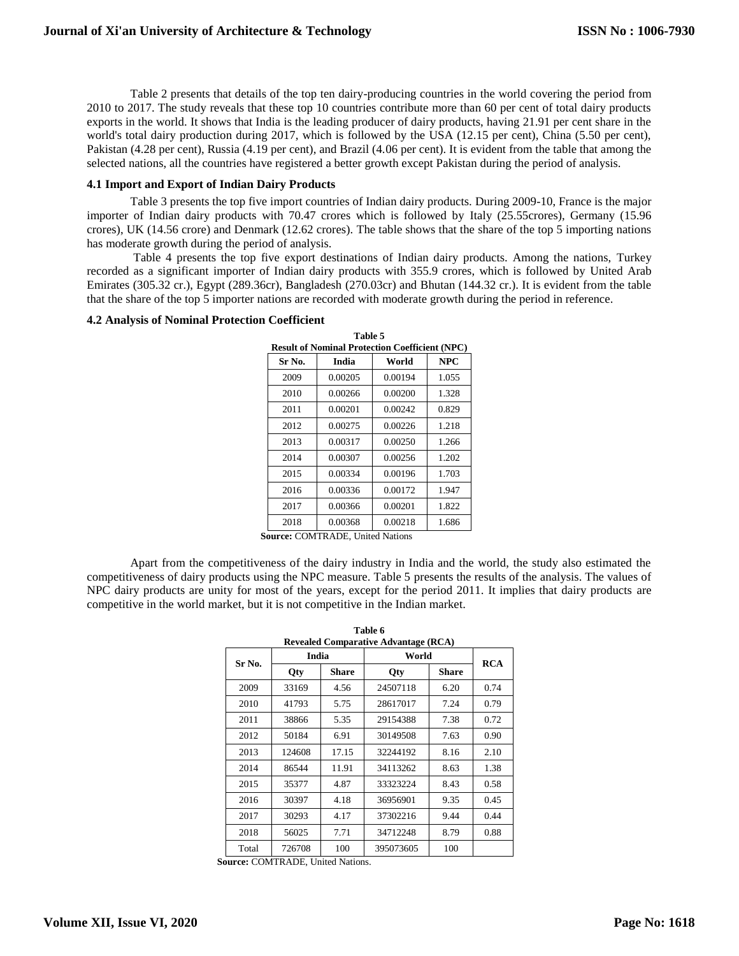Table 2 presents that details of the top ten dairy-producing countries in the world covering the period from 2010 to 2017. The study reveals that these top 10 countries contribute more than 60 per cent of total dairy products exports in the world. It shows that India is the leading producer of dairy products, having 21.91 per cent share in the world's total dairy production during 2017, which is followed by the USA (12.15 per cent), China (5.50 per cent), Pakistan (4.28 per cent), Russia (4.19 per cent), and Brazil (4.06 per cent). It is evident from the table that among the selected nations, all the countries have registered a better growth except Pakistan during the period of analysis.

#### **4.1 Import and Export of Indian Dairy Products**

Table 3 presents the top five import countries of Indian dairy products. During 2009-10, France is the major importer of Indian dairy products with 70.47 crores which is followed by Italy (25.55crores), Germany (15.96 crores), UK (14.56 crore) and Denmark (12.62 crores). The table shows that the share of the top 5 importing nations has moderate growth during the period of analysis.

Table 4 presents the top five export destinations of Indian dairy products. Among the nations, Turkey recorded as a significant importer of Indian dairy products with 355.9 crores, which is followed by United Arab Emirates (305.32 cr.), Egypt (289.36cr), Bangladesh (270.03cr) and Bhutan (144.32 cr.). It is evident from the table that the share of the top 5 importer nations are recorded with moderate growth during the period in reference.

**Table 5** 

|        | <b>Result of Nominal Protection Coefficient (NPC)</b> |         |            |
|--------|-------------------------------------------------------|---------|------------|
| Sr No. | India                                                 | World   | <b>NPC</b> |
| 2009   | 0.00205                                               | 0.00194 | 1.055      |
| 2010   | 0.00266                                               | 0.00200 | 1.328      |
| 2011   | 0.00201                                               | 0.00242 | 0.829      |
| 2012   | 0.00275                                               | 0.00226 | 1.218      |
| 2013   | 0.00317                                               | 0.00250 | 1.266      |
| 2014   | 0.00307                                               | 0.00256 | 1.202      |
| 2015   | 0.00334                                               | 0.00196 | 1.703      |
| 2016   | 0.00336                                               | 0.00172 | 1.947      |
| 2017   | 0.00366                                               | 0.00201 | 1.822      |
| 2018   | 0.00368                                               | 0.00218 | 1.686      |
|        | <b>Course: COMTDADE Huited Nations</b>                |         |            |

## **4.2 Analysis of Nominal Protection Coefficient**

**Source:** COMTRADE, United Nations

Apart from the competitiveness of the dairy industry in India and the world, the study also estimated the competitiveness of dairy products using the NPC measure. Table 5 presents the results of the analysis. The values of NPC dairy products are unity for most of the years, except for the period 2011. It implies that dairy products are competitive in the world market, but it is not competitive in the Indian market.

|        |            |              | <b>Revealed Comparative Advantage (RCA)</b> |              |      |
|--------|------------|--------------|---------------------------------------------|--------------|------|
| Sr No. | India      |              | World                                       | <b>RCA</b>   |      |
|        | <b>Qty</b> | <b>Share</b> | <b>Qty</b>                                  | <b>Share</b> |      |
| 2009   | 33169      | 4.56         | 24507118                                    | 6.20         | 0.74 |
| 2010   | 41793      | 5.75         | 28617017                                    | 7.24         | 0.79 |
| 2011   | 38866      | 5.35         | 29154388                                    | 7.38         | 0.72 |
| 2012   | 50184      | 6.91         | 30149508                                    | 7.63         | 0.90 |
| 2013   | 124608     | 17.15        | 32244192                                    | 8.16         | 2.10 |
| 2014   | 86544      | 11.91        | 34113262                                    | 8.63         | 1.38 |
| 2015   | 35377      | 4.87         | 33323224                                    | 8.43         | 0.58 |
| 2016   | 30397      | 4.18         | 36956901                                    | 9.35         | 0.45 |
| 2017   | 30293      | 4.17         | 37302216                                    | 9.44         | 0.44 |
| 2018   | 56025      | 7.71         | 34712248                                    | 8.79         | 0.88 |
| Total  | 726708     | 100          | 395073605                                   | 100          |      |

**Table 6**

**Source:** COMTRADE, United Nations.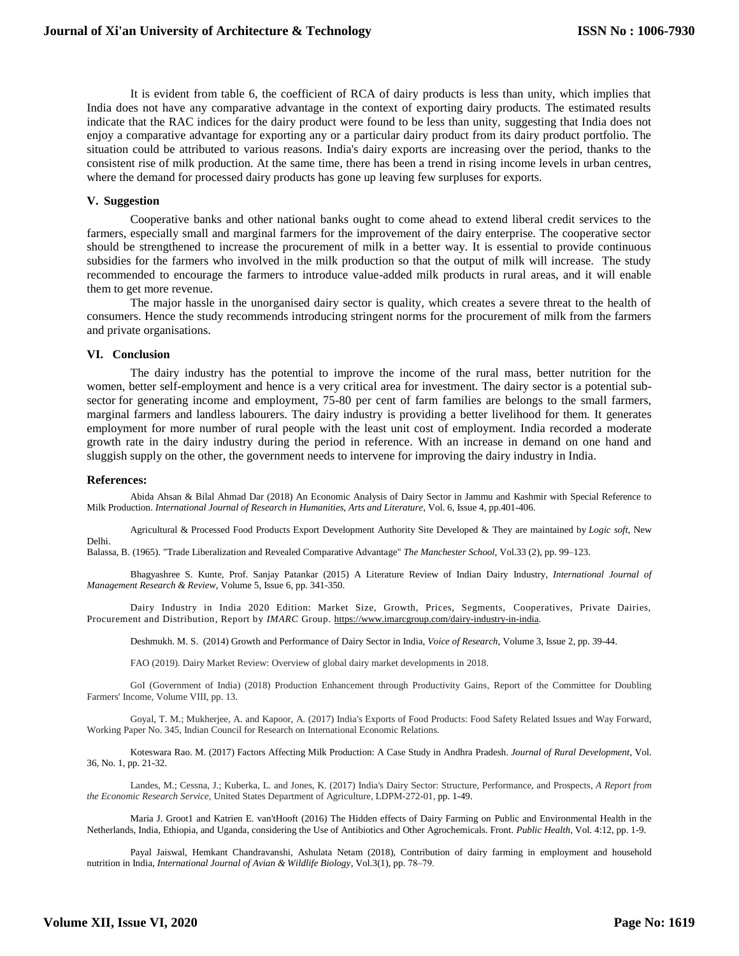It is evident from table 6, the coefficient of RCA of dairy products is less than unity, which implies that India does not have any comparative advantage in the context of exporting dairy products. The estimated results indicate that the RAC indices for the dairy product were found to be less than unity, suggesting that India does not enjoy a comparative advantage for exporting any or a particular dairy product from its dairy product portfolio. The situation could be attributed to various reasons. India's dairy exports are increasing over the period, thanks to the consistent rise of milk production. At the same time, there has been a trend in rising income levels in urban centres, where the demand for processed dairy products has gone up leaving few surpluses for exports.

#### **V. Suggestion**

Cooperative banks and other national banks ought to come ahead to extend liberal credit services to the farmers, especially small and marginal farmers for the improvement of the dairy enterprise. The cooperative sector should be strengthened to increase the procurement of milk in a better way. It is essential to provide continuous subsidies for the farmers who involved in the milk production so that the output of milk will increase. The study recommended to encourage the farmers to introduce value-added milk products in rural areas, and it will enable them to get more revenue.

The major hassle in the unorganised dairy sector is quality, which creates a severe threat to the health of consumers. Hence the study recommends introducing stringent norms for the procurement of milk from the farmers and private organisations.

#### **VI. Conclusion**

The dairy industry has the potential to improve the income of the rural mass, better nutrition for the women, better self-employment and hence is a very critical area for investment. The dairy sector is a potential subsector for generating income and employment, 75-80 per cent of farm families are belongs to the small farmers, marginal farmers and landless labourers. The dairy industry is providing a better livelihood for them. It generates employment for more number of rural people with the least unit cost of employment. India recorded a moderate growth rate in the dairy industry during the period in reference. With an increase in demand on one hand and sluggish supply on the other, the government needs to intervene for improving the dairy industry in India.

#### **References:**

Abida Ahsan & Bilal Ahmad Dar (2018) An Economic Analysis of Dairy Sector in Jammu and Kashmir with Special Reference to Milk Production. *International Journal of Research in Humanities, Arts and Literature*, Vol. 6, Issue 4, pp.401-406.

Agricultural & Processed Food Products Export Development Authority Site Developed & They are maintained by *Logic soft*, New Delhi.

Balassa, B. (1965). "Trade Liberalization and Revealed Comparative Advantage" *The Manchester School,* Vol.33 (2), pp. 99–123.

Bhagyashree S. Kunte, Prof. Sanjay Patankar (2015) A Literature Review of Indian Dairy Industry, *International Journal of Management Research & Review*, Volume 5, Issue 6, pp. 341-350.

Dairy Industry in India 2020 Edition: Market Size, Growth, Prices, Segments, Cooperatives, Private Dairies, Procurement and Distribution, Report by *IMARC* Group. [https://www.imarcgroup.com/dairy-industry-in-india.](https://www.imarcgroup.com/dairy-industry-in-india)

Deshmukh. M. S. (2014) Growth and Performance of Dairy Sector in India, *Voice of Research*, Volume 3, Issue 2, pp. 39-44.

FAO (2019). Dairy Market Review: Overview of global dairy market developments in 2018.

GoI (Government of India) (2018) Production Enhancement through Productivity Gains, Report of the Committee for Doubling Farmers' Income, Volume VIII, pp. 13.

Goyal, T. M.; Mukherjee, A. and Kapoor, A. (2017) India's Exports of Food Products: Food Safety Related Issues and Way Forward, Working Paper No. 345, Indian Council for Research on International Economic Relations.

Koteswara Rao. M. (2017) Factors Affecting Milk Production: A Case Study in Andhra Pradesh. *Journal of Rural Development*, Vol. 36, No. 1, pp. 21-32.

Landes, M.; Cessna, J.; Kuberka, L. and Jones, K. (2017) India's Dairy Sector: Structure, Performance, and Prospects, *A Report from the Economic Research Service,* United States Department of Agriculture, LDPM-272-01, pp. 1-49.

Maria J. Groot1 and Katrien E. van'tHooft (2016) The Hidden effects of Dairy Farming on Public and Environmental Health in the Netherlands, India, Ethiopia, and Uganda, considering the Use of Antibiotics and Other Agrochemicals. Front. *Public Health,* Vol. 4:12, pp. 1-9.

Payal Jaiswal, Hemkant Chandravanshi, Ashulata Netam (2018), Contribution of dairy farming in employment and household nutrition in India, *International Journal of Avian & Wildlife Biology*, Vol.3(1), pp. 78‒79.